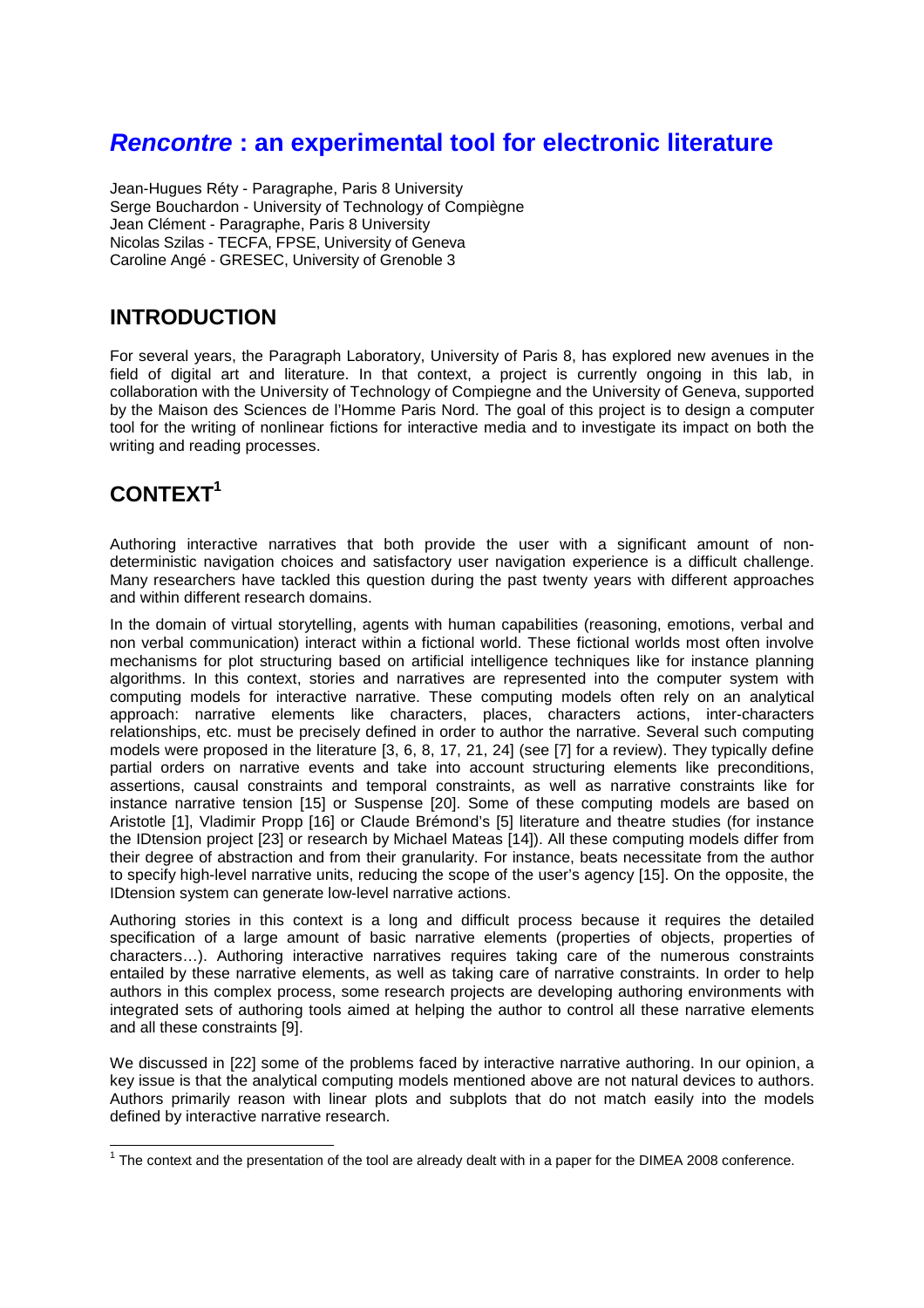# **Rencontre : an experimental tool for electronic literature**

Jean-Hugues Réty - Paragraphe, Paris 8 University Serge Bouchardon - University of Technology of Compiègne Jean Clément - Paragraphe, Paris 8 University Nicolas Szilas - TECFA, FPSE, University of Geneva Caroline Angé - GRESEC, University of Grenoble 3

# **INTRODUCTION**

For several years, the Paragraph Laboratory, University of Paris 8, has explored new avenues in the field of digital art and literature. In that context, a project is currently ongoing in this lab, in collaboration with the University of Technology of Compiegne and the University of Geneva, supported by the Maison des Sciences de l'Homme Paris Nord. The goal of this project is to design a computer tool for the writing of nonlinear fictions for interactive media and to investigate its impact on both the writing and reading processes.

# **CONTEXT<sup>1</sup>**

Authoring interactive narratives that both provide the user with a significant amount of nondeterministic navigation choices and satisfactory user navigation experience is a difficult challenge. Many researchers have tackled this question during the past twenty years with different approaches and within different research domains.

In the domain of virtual storytelling, agents with human capabilities (reasoning, emotions, verbal and non verbal communication) interact within a fictional world. These fictional worlds most often involve mechanisms for plot structuring based on artificial intelligence techniques like for instance planning algorithms. In this context, stories and narratives are represented into the computer system with computing models for interactive narrative. These computing models often rely on an analytical approach: narrative elements like characters, places, characters actions, inter-characters relationships, etc. must be precisely defined in order to author the narrative. Several such computing models were proposed in the literature [3, 6, 8, 17, 21, 24] (see [7] for a review). They typically define partial orders on narrative events and take into account structuring elements like preconditions, assertions, causal constraints and temporal constraints, as well as narrative constraints like for instance narrative tension [15] or Suspense [20]. Some of these computing models are based on Aristotle [1], Vladimir Propp [16] or Claude Brémond's [5] literature and theatre studies (for instance the IDtension project [23] or research by Michael Mateas [14]). All these computing models differ from their degree of abstraction and from their granularity. For instance, beats necessitate from the author to specify high-level narrative units, reducing the scope of the user's agency [15]. On the opposite, the IDtension system can generate low-level narrative actions.

Authoring stories in this context is a long and difficult process because it requires the detailed specification of a large amount of basic narrative elements (properties of objects, properties of characters…). Authoring interactive narratives requires taking care of the numerous constraints entailed by these narrative elements, as well as taking care of narrative constraints. In order to help authors in this complex process, some research projects are developing authoring environments with integrated sets of authoring tools aimed at helping the author to control all these narrative elements and all these constraints [9].

We discussed in [22] some of the problems faced by interactive narrative authoring. In our opinion, a key issue is that the analytical computing models mentioned above are not natural devices to authors. Authors primarily reason with linear plots and subplots that do not match easily into the models defined by interactive narrative research.

 1 The context and the presentation of the tool are already dealt with in a paper for the DIMEA 2008 conference.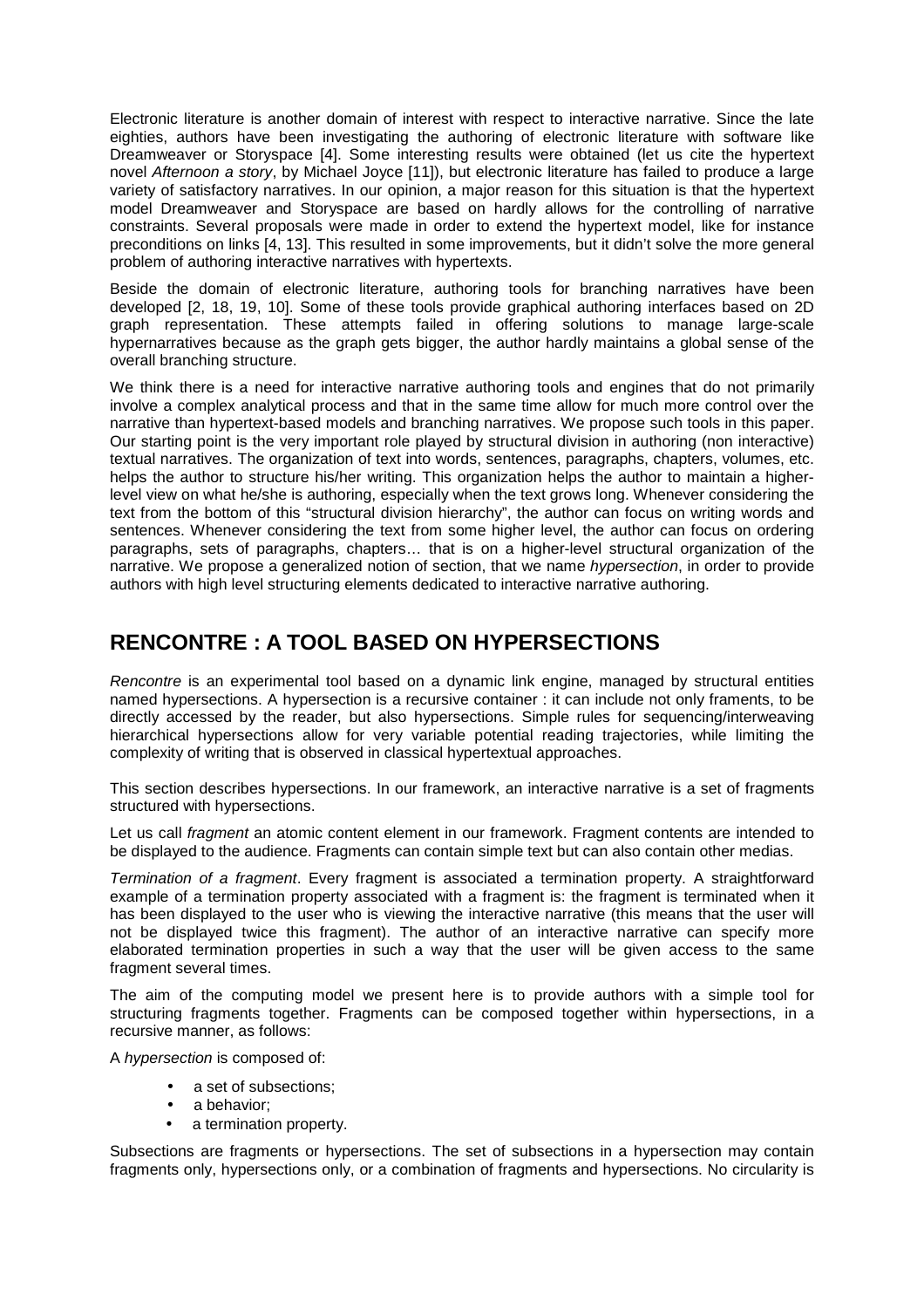Electronic literature is another domain of interest with respect to interactive narrative. Since the late eighties, authors have been investigating the authoring of electronic literature with software like Dreamweaver or Storyspace [4]. Some interesting results were obtained (let us cite the hypertext novel Afternoon a story, by Michael Joyce [11]), but electronic literature has failed to produce a large variety of satisfactory narratives. In our opinion, a major reason for this situation is that the hypertext model Dreamweaver and Storyspace are based on hardly allows for the controlling of narrative constraints. Several proposals were made in order to extend the hypertext model, like for instance preconditions on links [4, 13]. This resulted in some improvements, but it didn't solve the more general problem of authoring interactive narratives with hypertexts.

Beside the domain of electronic literature, authoring tools for branching narratives have been developed [2, 18, 19, 10]. Some of these tools provide graphical authoring interfaces based on 2D graph representation. These attempts failed in offering solutions to manage large-scale hypernarratives because as the graph gets bigger, the author hardly maintains a global sense of the overall branching structure.

We think there is a need for interactive narrative authoring tools and engines that do not primarily involve a complex analytical process and that in the same time allow for much more control over the narrative than hypertext-based models and branching narratives. We propose such tools in this paper. Our starting point is the very important role played by structural division in authoring (non interactive) textual narratives. The organization of text into words, sentences, paragraphs, chapters, volumes, etc. helps the author to structure his/her writing. This organization helps the author to maintain a higherlevel view on what he/she is authoring, especially when the text grows long. Whenever considering the text from the bottom of this "structural division hierarchy", the author can focus on writing words and sentences. Whenever considering the text from some higher level, the author can focus on ordering paragraphs, sets of paragraphs, chapters… that is on a higher-level structural organization of the narrative. We propose a generalized notion of section, that we name *hypersection*, in order to provide authors with high level structuring elements dedicated to interactive narrative authoring.

## **RENCONTRE : A TOOL BASED ON HYPERSECTIONS**

Rencontre is an experimental tool based on a dynamic link engine, managed by structural entities named hypersections. A hypersection is a recursive container : it can include not only framents, to be directly accessed by the reader, but also hypersections. Simple rules for sequencing/interweaving hierarchical hypersections allow for very variable potential reading trajectories, while limiting the complexity of writing that is observed in classical hypertextual approaches.

This section describes hypersections. In our framework, an interactive narrative is a set of fragments structured with hypersections.

Let us call *fragment* an atomic content element in our framework. Fragment contents are intended to be displayed to the audience. Fragments can contain simple text but can also contain other medias.

Termination of a fragment. Every fragment is associated a termination property. A straightforward example of a termination property associated with a fragment is: the fragment is terminated when it has been displayed to the user who is viewing the interactive narrative (this means that the user will not be displayed twice this fragment). The author of an interactive narrative can specify more elaborated termination properties in such a way that the user will be given access to the same fragment several times.

The aim of the computing model we present here is to provide authors with a simple tool for structuring fragments together. Fragments can be composed together within hypersections, in a recursive manner, as follows:

A hypersection is composed of:

- a set of subsections:
- a behavior;
- a termination property.

Subsections are fragments or hypersections. The set of subsections in a hypersection may contain fragments only, hypersections only, or a combination of fragments and hypersections. No circularity is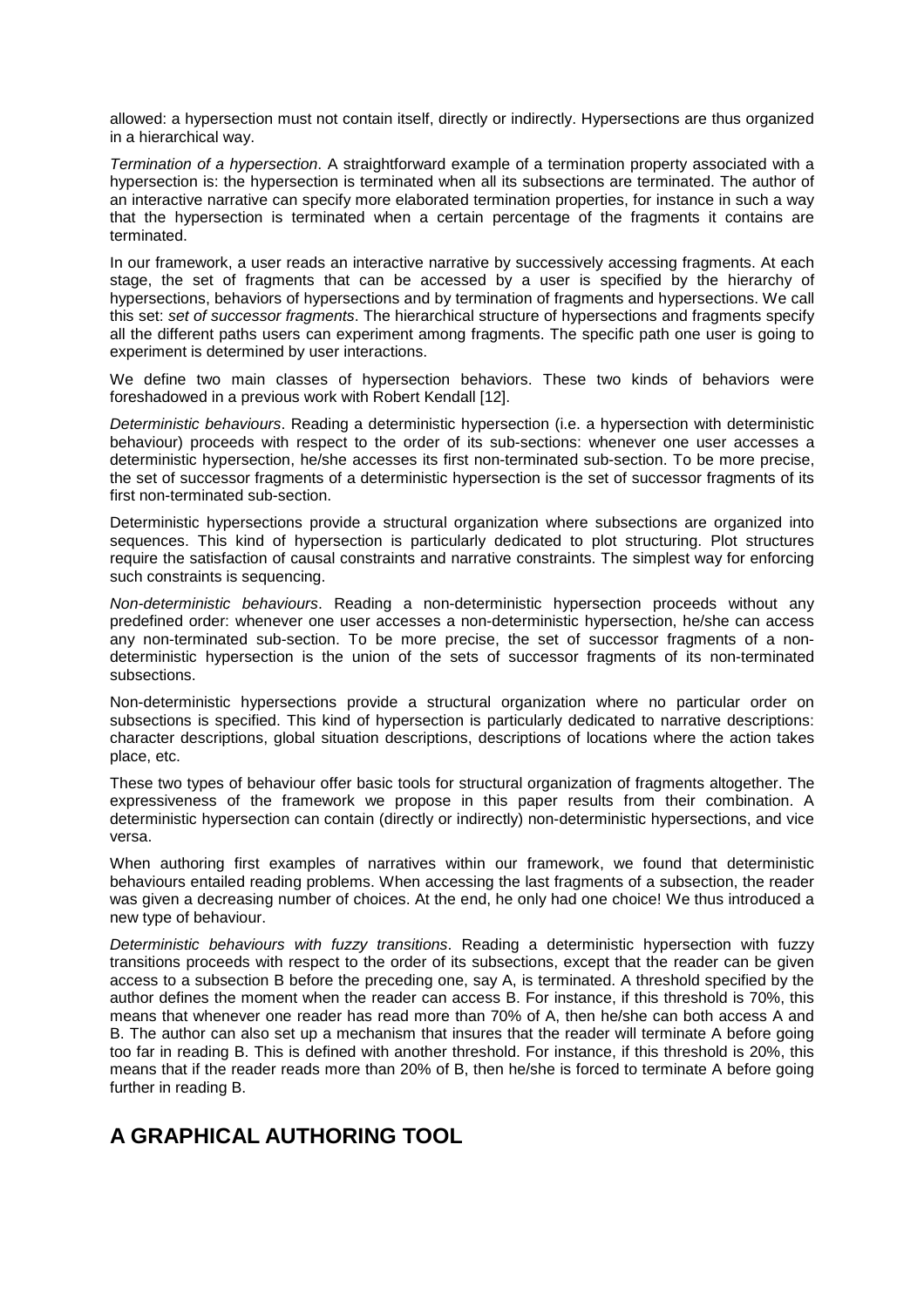allowed: a hypersection must not contain itself, directly or indirectly. Hypersections are thus organized in a hierarchical way.

Termination of a hypersection. A straightforward example of a termination property associated with a hypersection is: the hypersection is terminated when all its subsections are terminated. The author of an interactive narrative can specify more elaborated termination properties, for instance in such a way that the hypersection is terminated when a certain percentage of the fragments it contains are terminated.

In our framework, a user reads an interactive narrative by successively accessing fragments. At each stage, the set of fragments that can be accessed by a user is specified by the hierarchy of hypersections, behaviors of hypersections and by termination of fragments and hypersections. We call this set: set of successor fragments. The hierarchical structure of hypersections and fragments specify all the different paths users can experiment among fragments. The specific path one user is going to experiment is determined by user interactions.

We define two main classes of hypersection behaviors. These two kinds of behaviors were foreshadowed in a previous work with Robert Kendall [12].

Deterministic behaviours. Reading a deterministic hypersection (i.e. a hypersection with deterministic behaviour) proceeds with respect to the order of its sub-sections: whenever one user accesses a deterministic hypersection, he/she accesses its first non-terminated sub-section. To be more precise, the set of successor fragments of a deterministic hypersection is the set of successor fragments of its first non-terminated sub-section.

Deterministic hypersections provide a structural organization where subsections are organized into sequences. This kind of hypersection is particularly dedicated to plot structuring. Plot structures require the satisfaction of causal constraints and narrative constraints. The simplest way for enforcing such constraints is sequencing.

Non-deterministic behaviours. Reading a non-deterministic hypersection proceeds without any predefined order: whenever one user accesses a non-deterministic hypersection, he/she can access any non-terminated sub-section. To be more precise, the set of successor fragments of a nondeterministic hypersection is the union of the sets of successor fragments of its non-terminated subsections.

Non-deterministic hypersections provide a structural organization where no particular order on subsections is specified. This kind of hypersection is particularly dedicated to narrative descriptions: character descriptions, global situation descriptions, descriptions of locations where the action takes place, etc.

These two types of behaviour offer basic tools for structural organization of fragments altogether. The expressiveness of the framework we propose in this paper results from their combination. A deterministic hypersection can contain (directly or indirectly) non-deterministic hypersections, and vice versa.

When authoring first examples of narratives within our framework, we found that deterministic behaviours entailed reading problems. When accessing the last fragments of a subsection, the reader was given a decreasing number of choices. At the end, he only had one choice! We thus introduced a new type of behaviour.

Deterministic behaviours with fuzzy transitions. Reading a deterministic hypersection with fuzzy transitions proceeds with respect to the order of its subsections, except that the reader can be given access to a subsection B before the preceding one, say A, is terminated. A threshold specified by the author defines the moment when the reader can access B. For instance, if this threshold is 70%, this means that whenever one reader has read more than 70% of A, then he/she can both access A and B. The author can also set up a mechanism that insures that the reader will terminate A before going too far in reading B. This is defined with another threshold. For instance, if this threshold is 20%, this means that if the reader reads more than 20% of B, then he/she is forced to terminate A before going further in reading B.

# **A GRAPHICAL AUTHORING TOOL**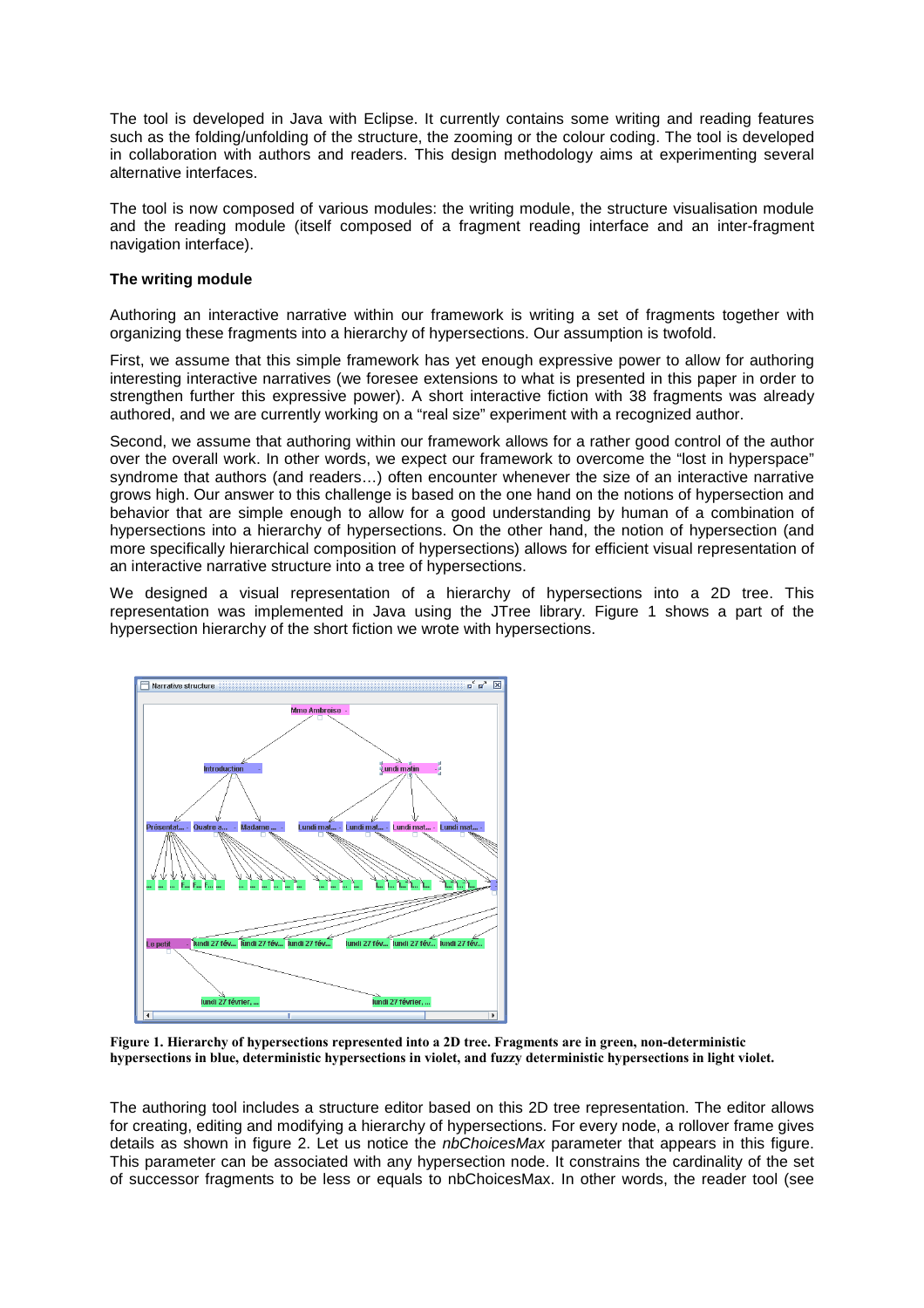The tool is developed in Java with Eclipse. It currently contains some writing and reading features such as the folding/unfolding of the structure, the zooming or the colour coding. The tool is developed in collaboration with authors and readers. This design methodology aims at experimenting several alternative interfaces.

The tool is now composed of various modules: the writing module, the structure visualisation module and the reading module (itself composed of a fragment reading interface and an inter-fragment navigation interface).

### **The writing module**

Authoring an interactive narrative within our framework is writing a set of fragments together with organizing these fragments into a hierarchy of hypersections. Our assumption is twofold.

First, we assume that this simple framework has yet enough expressive power to allow for authoring interesting interactive narratives (we foresee extensions to what is presented in this paper in order to strengthen further this expressive power). A short interactive fiction with 38 fragments was already authored, and we are currently working on a "real size" experiment with a recognized author.

Second, we assume that authoring within our framework allows for a rather good control of the author over the overall work. In other words, we expect our framework to overcome the "lost in hyperspace" syndrome that authors (and readers...) often encounter whenever the size of an interactive narrative grows high. Our answer to this challenge is based on the one hand on the notions of hypersection and behavior that are simple enough to allow for a good understanding by human of a combination of hypersections into a hierarchy of hypersections. On the other hand, the notion of hypersection (and more specifically hierarchical composition of hypersections) allows for efficient visual representation of an interactive narrative structure into a tree of hypersections.

We designed a visual representation of a hierarchy of hypersections into a 2D tree. This representation was implemented in Java using the JTree library. Figure 1 shows a part of the hypersection hierarchy of the short fiction we wrote with hypersections.



**Figure 1. Hierarchy of hypersections represented into a 2D tree. Fragments are in green, non-deterministic hypersections in blue, deterministic hypersections in violet, and fuzzy deterministic hypersections in light violet.** 

The authoring tool includes a structure editor based on this 2D tree representation. The editor allows for creating, editing and modifying a hierarchy of hypersections. For every node, a rollover frame gives details as shown in figure 2. Let us notice the *nbChoicesMax* parameter that appears in this figure. This parameter can be associated with any hypersection node. It constrains the cardinality of the set of successor fragments to be less or equals to nbChoicesMax. In other words, the reader tool (see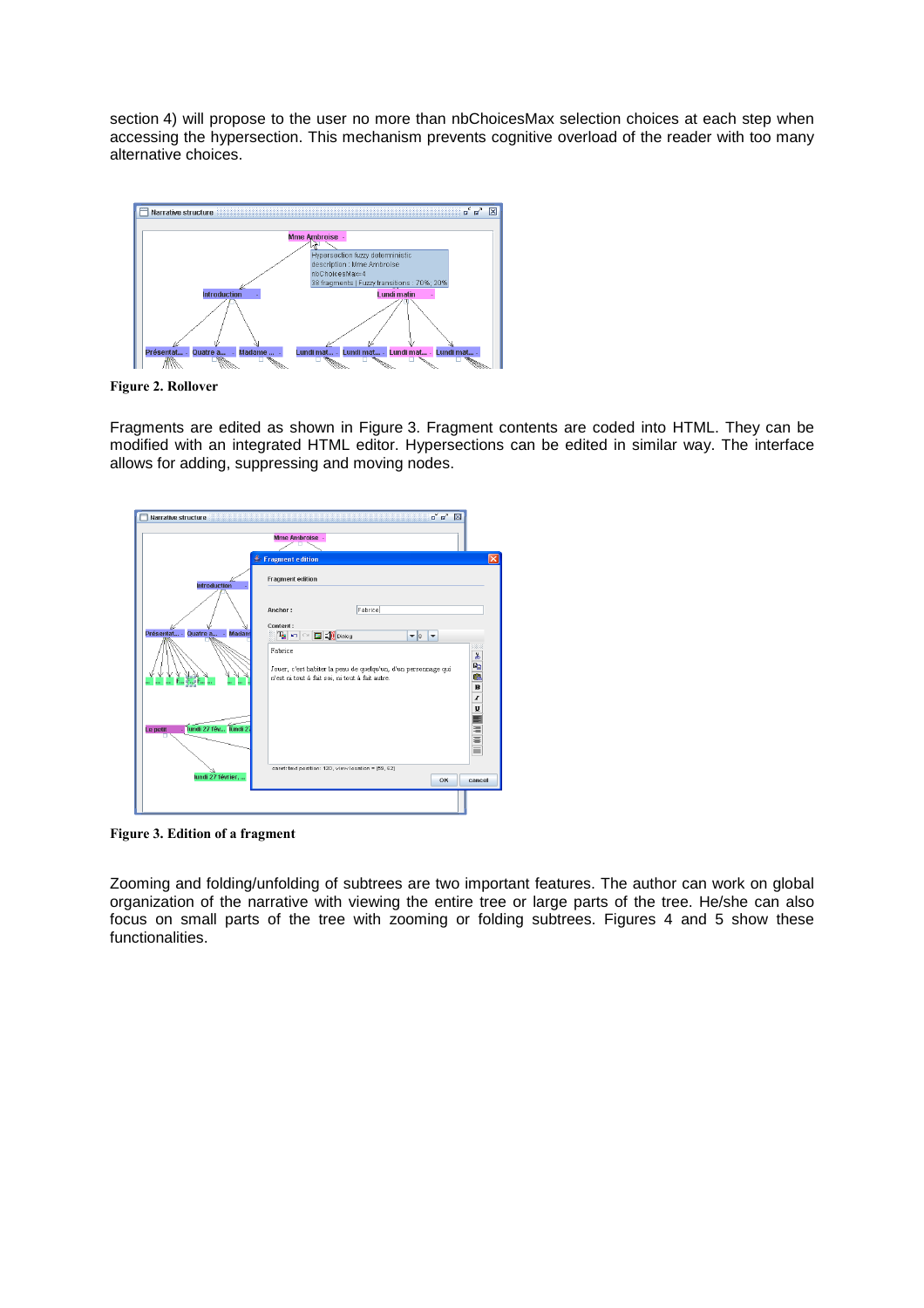section 4) will propose to the user no more than nbChoicesMax selection choices at each step when accessing the hypersection. This mechanism prevents cognitive overload of the reader with too many alternative choices.



**Figure 2. Rollover** 

Fragments are edited as shown in Figure 3. Fragment contents are coded into HTML. They can be modified with an integrated HTML editor. Hypersections can be edited in similar way. The interface allows for adding, suppressing and moving nodes.



**Figure 3. Edition of a fragment** 

Zooming and folding/unfolding of subtrees are two important features. The author can work on global organization of the narrative with viewing the entire tree or large parts of the tree. He/she can also focus on small parts of the tree with zooming or folding subtrees. Figures 4 and 5 show these functionalities.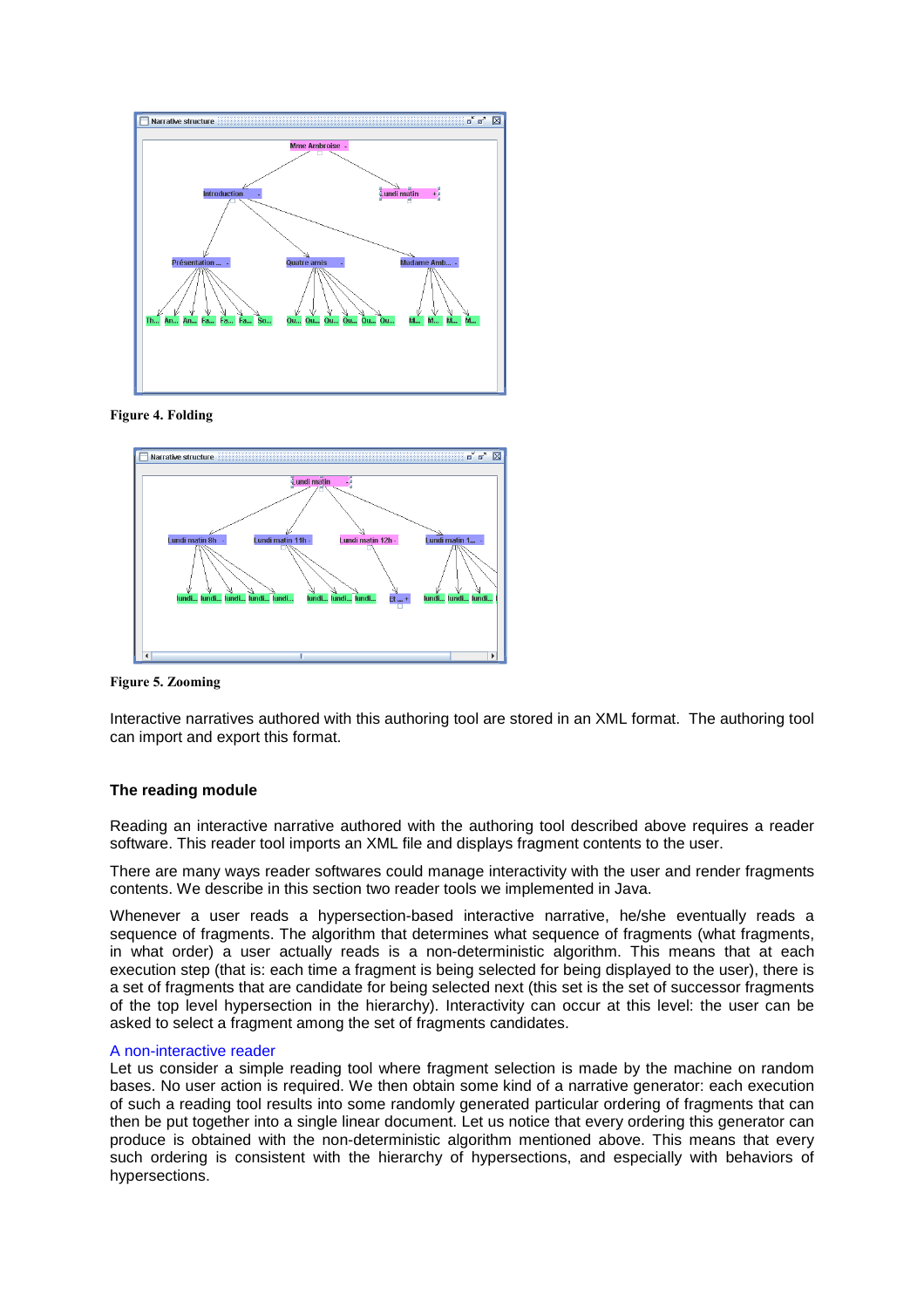

### **Figure 4. Folding**



**Figure 5. Zooming** 

Interactive narratives authored with this authoring tool are stored in an XML format. The authoring tool can import and export this format.

### **The reading module**

Reading an interactive narrative authored with the authoring tool described above requires a reader software. This reader tool imports an XML file and displays fragment contents to the user.

There are many ways reader softwares could manage interactivity with the user and render fragments contents. We describe in this section two reader tools we implemented in Java.

Whenever a user reads a hypersection-based interactive narrative, he/she eventually reads a sequence of fragments. The algorithm that determines what sequence of fragments (what fragments, in what order) a user actually reads is a non-deterministic algorithm. This means that at each execution step (that is: each time a fragment is being selected for being displayed to the user), there is a set of fragments that are candidate for being selected next (this set is the set of successor fragments of the top level hypersection in the hierarchy). Interactivity can occur at this level: the user can be asked to select a fragment among the set of fragments candidates.

#### A non-interactive reader

Let us consider a simple reading tool where fragment selection is made by the machine on random bases. No user action is required. We then obtain some kind of a narrative generator: each execution of such a reading tool results into some randomly generated particular ordering of fragments that can then be put together into a single linear document. Let us notice that every ordering this generator can produce is obtained with the non-deterministic algorithm mentioned above. This means that every such ordering is consistent with the hierarchy of hypersections, and especially with behaviors of hypersections.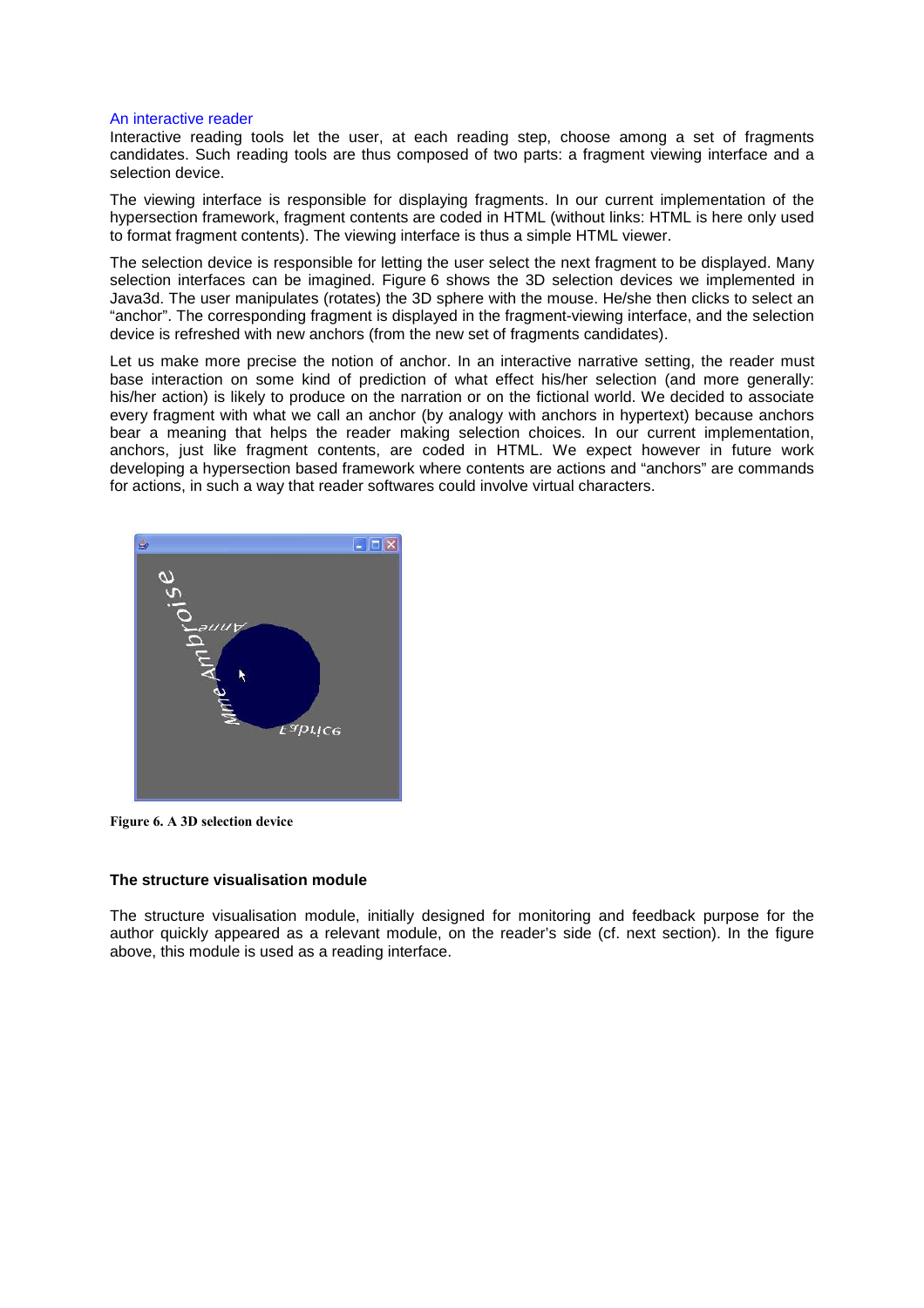#### An interactive reader

Interactive reading tools let the user, at each reading step, choose among a set of fragments candidates. Such reading tools are thus composed of two parts: a fragment viewing interface and a selection device.

The viewing interface is responsible for displaying fragments. In our current implementation of the hypersection framework, fragment contents are coded in HTML (without links: HTML is here only used to format fragment contents). The viewing interface is thus a simple HTML viewer.

The selection device is responsible for letting the user select the next fragment to be displayed. Many selection interfaces can be imagined. Figure 6 shows the 3D selection devices we implemented in Java3d. The user manipulates (rotates) the 3D sphere with the mouse. He/she then clicks to select an "anchor". The corresponding fragment is displayed in the fragment-viewing interface, and the selection device is refreshed with new anchors (from the new set of fragments candidates).

Let us make more precise the notion of anchor. In an interactive narrative setting, the reader must base interaction on some kind of prediction of what effect his/her selection (and more generally: his/her action) is likely to produce on the narration or on the fictional world. We decided to associate every fragment with what we call an anchor (by analogy with anchors in hypertext) because anchors bear a meaning that helps the reader making selection choices. In our current implementation, anchors, just like fragment contents, are coded in HTML. We expect however in future work developing a hypersection based framework where contents are actions and "anchors" are commands for actions, in such a way that reader softwares could involve virtual characters.



**Figure 6. A 3D selection device** 

#### **The structure visualisation module**

The structure visualisation module, initially designed for monitoring and feedback purpose for the author quickly appeared as a relevant module, on the reader's side (cf. next section). In the figure above, this module is used as a reading interface.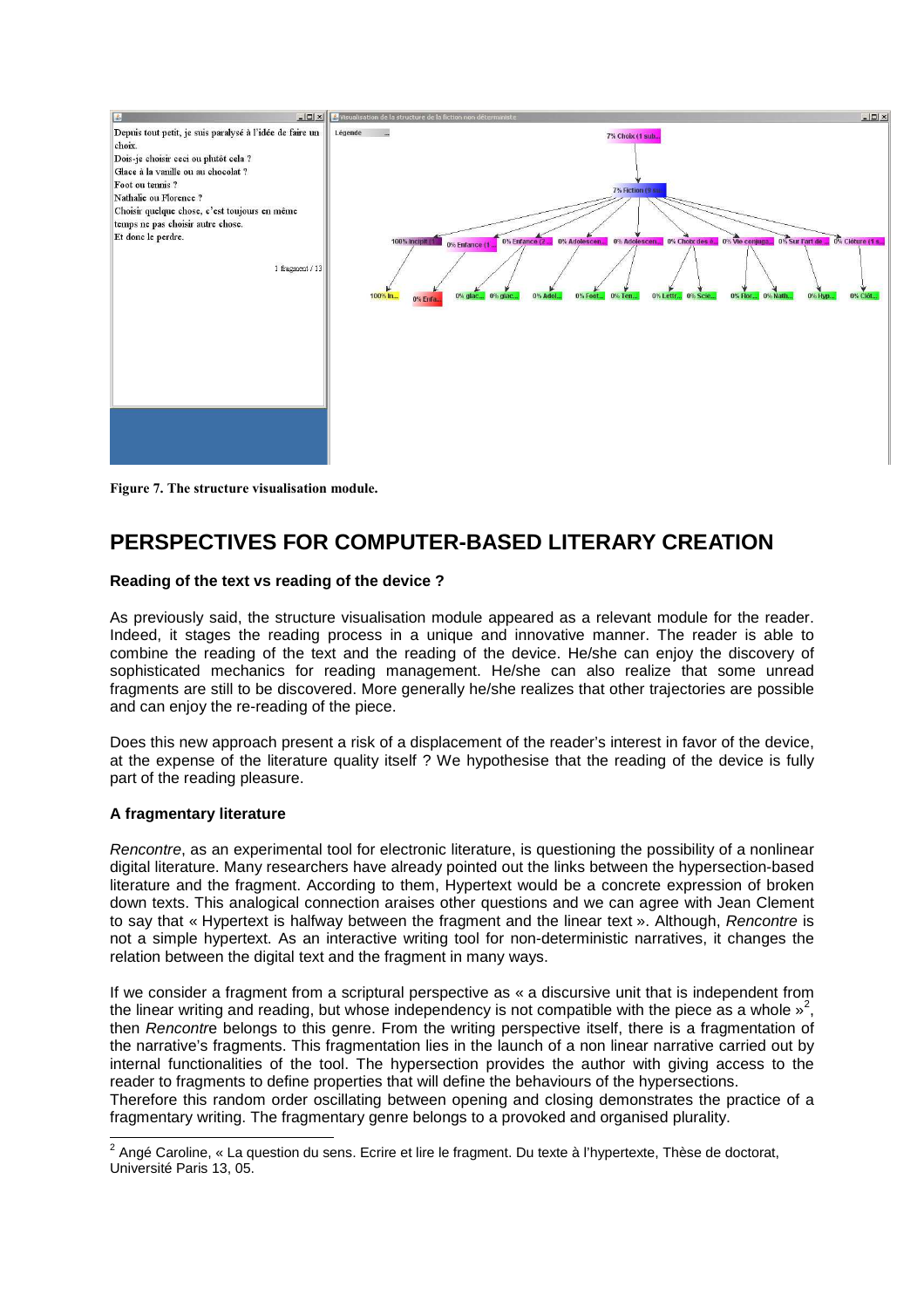

**Figure 7. The structure visualisation module.** 

# **PERSPECTIVES FOR COMPUTER-BASED LITERARY CREATION**

### **Reading of the text vs reading of the device ?**

As previously said, the structure visualisation module appeared as a relevant module for the reader. Indeed, it stages the reading process in a unique and innovative manner. The reader is able to combine the reading of the text and the reading of the device. He/she can enjoy the discovery of sophisticated mechanics for reading management. He/she can also realize that some unread fragments are still to be discovered. More generally he/she realizes that other trajectories are possible and can enjoy the re-reading of the piece.

Does this new approach present a risk of a displacement of the reader's interest in favor of the device, at the expense of the literature quality itself ? We hypothesise that the reading of the device is fully part of the reading pleasure.

### **A fragmentary literature**

Rencontre, as an experimental tool for electronic literature, is questioning the possibility of a nonlinear digital literature. Many researchers have already pointed out the links between the hypersection-based literature and the fragment. According to them, Hypertext would be a concrete expression of broken down texts. This analogical connection araises other questions and we can agree with Jean Clement to say that « Hypertext is halfway between the fragment and the linear text ». Although, Rencontre is not a simple hypertext. As an interactive writing tool for non-deterministic narratives, it changes the relation between the digital text and the fragment in many ways.

If we consider a fragment from a scriptural perspective as « a discursive unit that is independent from the linear writing and reading, but whose independency is not compatible with the piece as a whole  $v^2$ , then Rencontre belongs to this genre. From the writing perspective itself, there is a fragmentation of the narrative's fragments. This fragmentation lies in the launch of a non linear narrative carried out by internal functionalities of the tool. The hypersection provides the author with giving access to the reader to fragments to define properties that will define the behaviours of the hypersections.

Therefore this random order oscillating between opening and closing demonstrates the practice of a fragmentary writing. The fragmentary genre belongs to a provoked and organised plurality.

 2 Angé Caroline, « La question du sens. Ecrire et lire le fragment. Du texte à l'hypertexte, Thèse de doctorat, Université Paris 13, 05.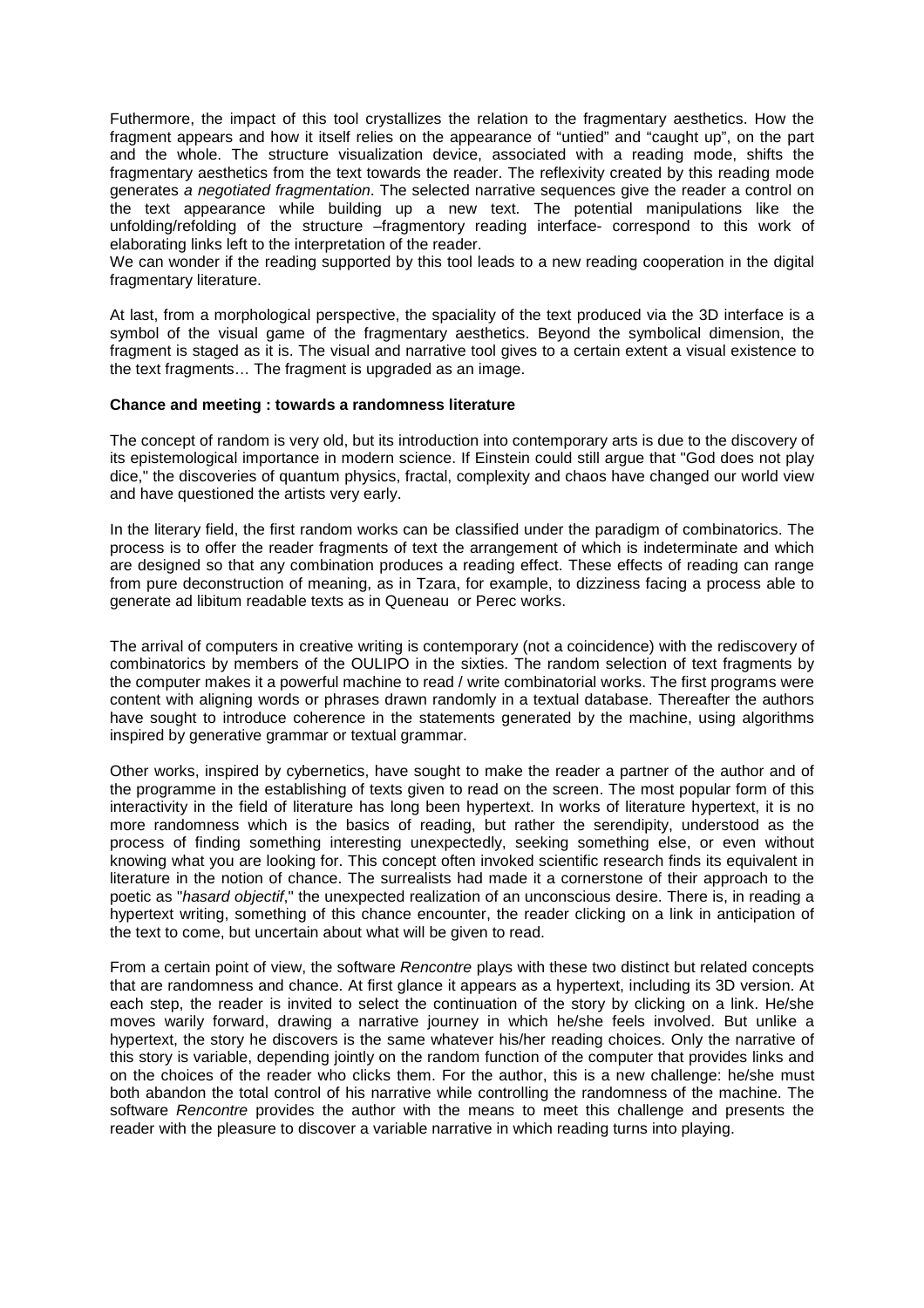Futhermore, the impact of this tool crystallizes the relation to the fragmentary aesthetics. How the fragment appears and how it itself relies on the appearance of "untied" and "caught up", on the part and the whole. The structure visualization device, associated with a reading mode, shifts the fragmentary aesthetics from the text towards the reader. The reflexivity created by this reading mode generates a negotiated fragmentation. The selected narrative sequences give the reader a control on the text appearance while building up a new text. The potential manipulations like the unfolding/refolding of the structure –fragmentory reading interface- correspond to this work of elaborating links left to the interpretation of the reader.

We can wonder if the reading supported by this tool leads to a new reading cooperation in the digital fragmentary literature.

At last, from a morphological perspective, the spaciality of the text produced via the 3D interface is a symbol of the visual game of the fragmentary aesthetics. Beyond the symbolical dimension, the fragment is staged as it is. The visual and narrative tool gives to a certain extent a visual existence to the text fragments… The fragment is upgraded as an image.

#### **Chance and meeting : towards a randomness literature**

The concept of random is very old, but its introduction into contemporary arts is due to the discovery of its epistemological importance in modern science. If Einstein could still argue that "God does not play dice," the discoveries of quantum physics, fractal, complexity and chaos have changed our world view and have questioned the artists very early.

In the literary field, the first random works can be classified under the paradigm of combinatorics. The process is to offer the reader fragments of text the arrangement of which is indeterminate and which are designed so that any combination produces a reading effect. These effects of reading can range from pure deconstruction of meaning, as in Tzara, for example, to dizziness facing a process able to generate ad libitum readable texts as in Queneau or Perec works.

The arrival of computers in creative writing is contemporary (not a coincidence) with the rediscovery of combinatorics by members of the OULIPO in the sixties. The random selection of text fragments by the computer makes it a powerful machine to read / write combinatorial works. The first programs were content with aligning words or phrases drawn randomly in a textual database. Thereafter the authors have sought to introduce coherence in the statements generated by the machine, using algorithms inspired by generative grammar or textual grammar.

Other works, inspired by cybernetics, have sought to make the reader a partner of the author and of the programme in the establishing of texts given to read on the screen. The most popular form of this interactivity in the field of literature has long been hypertext. In works of literature hypertext, it is no more randomness which is the basics of reading, but rather the serendipity, understood as the process of finding something interesting unexpectedly, seeking something else, or even without knowing what you are looking for. This concept often invoked scientific research finds its equivalent in literature in the notion of chance. The surrealists had made it a cornerstone of their approach to the poetic as "*hasard objectif*," the unexpected realization of an unconscious desire. There is, in reading a hypertext writing, something of this chance encounter, the reader clicking on a link in anticipation of the text to come, but uncertain about what will be given to read.

From a certain point of view, the software Rencontre plays with these two distinct but related concepts that are randomness and chance. At first glance it appears as a hypertext, including its 3D version. At each step, the reader is invited to select the continuation of the story by clicking on a link. He/she moves warily forward, drawing a narrative journey in which he/she feels involved. But unlike a hypertext, the story he discovers is the same whatever his/her reading choices. Only the narrative of this story is variable, depending jointly on the random function of the computer that provides links and on the choices of the reader who clicks them. For the author, this is a new challenge: he/she must both abandon the total control of his narrative while controlling the randomness of the machine. The software Rencontre provides the author with the means to meet this challenge and presents the reader with the pleasure to discover a variable narrative in which reading turns into playing.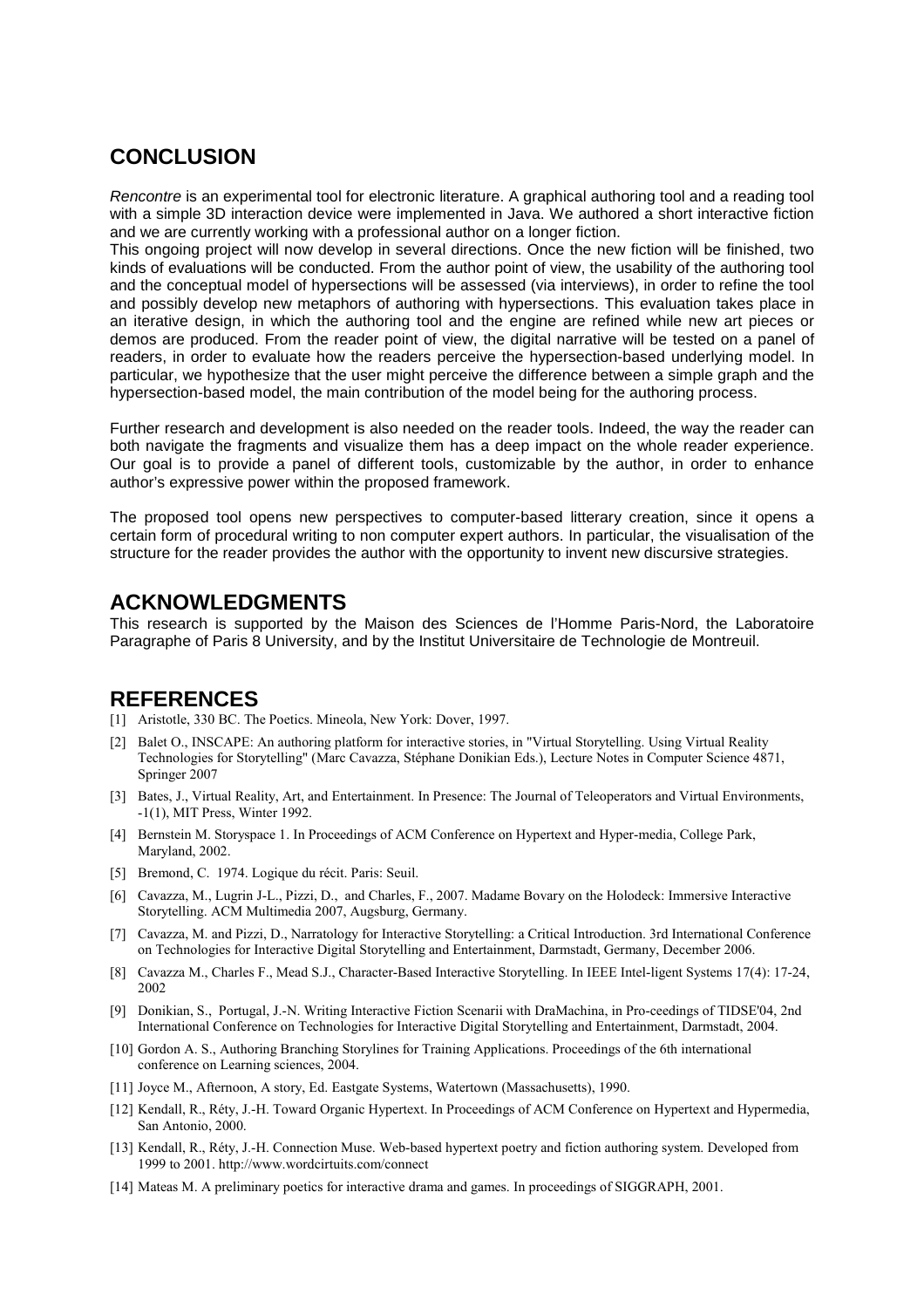## **CONCLUSION**

Rencontre is an experimental tool for electronic literature. A graphical authoring tool and a reading tool with a simple 3D interaction device were implemented in Java. We authored a short interactive fiction and we are currently working with a professional author on a longer fiction.

This ongoing project will now develop in several directions. Once the new fiction will be finished, two kinds of evaluations will be conducted. From the author point of view, the usability of the authoring tool and the conceptual model of hypersections will be assessed (via interviews), in order to refine the tool and possibly develop new metaphors of authoring with hypersections. This evaluation takes place in an iterative design, in which the authoring tool and the engine are refined while new art pieces or demos are produced. From the reader point of view, the digital narrative will be tested on a panel of readers, in order to evaluate how the readers perceive the hypersection-based underlying model. In particular, we hypothesize that the user might perceive the difference between a simple graph and the hypersection-based model, the main contribution of the model being for the authoring process.

Further research and development is also needed on the reader tools. Indeed, the way the reader can both navigate the fragments and visualize them has a deep impact on the whole reader experience. Our goal is to provide a panel of different tools, customizable by the author, in order to enhance author's expressive power within the proposed framework.

The proposed tool opens new perspectives to computer-based litterary creation, since it opens a certain form of procedural writing to non computer expert authors. In particular, the visualisation of the structure for the reader provides the author with the opportunity to invent new discursive strategies.

### **ACKNOWLEDGMENTS**

This research is supported by the Maison des Sciences de l'Homme Paris-Nord, the Laboratoire Paragraphe of Paris 8 University, and by the Institut Universitaire de Technologie de Montreuil.

### **REFERENCES**

- [1] Aristotle, 330 BC. The Poetics. Mineola, New York: Dover, 1997.
- [2] Balet O., INSCAPE: An authoring platform for interactive stories, in "Virtual Storytelling. Using Virtual Reality Technologies for Storytelling" (Marc Cavazza, Stéphane Donikian Eds.), Lecture Notes in Computer Science 4871, Springer 2007
- [3] Bates, J., Virtual Reality, Art, and Entertainment. In Presence: The Journal of Teleoperators and Virtual Environments, -1(1), MIT Press, Winter 1992.
- [4] Bernstein M. Storyspace 1. In Proceedings of ACM Conference on Hypertext and Hyper-media, College Park, Maryland, 2002.
- [5] Bremond, C. 1974. Logique du récit. Paris: Seuil.
- [6] Cavazza, M., Lugrin J-L., Pizzi, D., and Charles, F., 2007. Madame Bovary on the Holodeck: Immersive Interactive Storytelling. ACM Multimedia 2007, Augsburg, Germany.
- [7] Cavazza, M. and Pizzi, D., Narratology for Interactive Storytelling: a Critical Introduction. 3rd International Conference on Technologies for Interactive Digital Storytelling and Entertainment, Darmstadt, Germany, December 2006.
- [8] Cavazza M., Charles F., Mead S.J., Character-Based Interactive Storytelling. In IEEE Intel-ligent Systems 17(4): 17-24, 2002
- [9] Donikian, S., Portugal, J.-N. Writing Interactive Fiction Scenarii with DraMachina, in Pro-ceedings of TIDSE'04, 2nd International Conference on Technologies for Interactive Digital Storytelling and Entertainment, Darmstadt, 2004.
- [10] Gordon A. S., Authoring Branching Storylines for Training Applications. Proceedings of the 6th international conference on Learning sciences, 2004.
- [11] Joyce M., Afternoon, A story, Ed. Eastgate Systems, Watertown (Massachusetts), 1990.
- [12] Kendall, R., Réty, J.-H. Toward Organic Hypertext. In Proceedings of ACM Conference on Hypertext and Hypermedia, San Antonio, 2000.
- [13] Kendall, R., Réty, J.-H. Connection Muse. Web-based hypertext poetry and fiction authoring system. Developed from 1999 to 2001. http://www.wordcirtuits.com/connect
- [14] Mateas M. A preliminary poetics for interactive drama and games. In proceedings of SIGGRAPH, 2001.